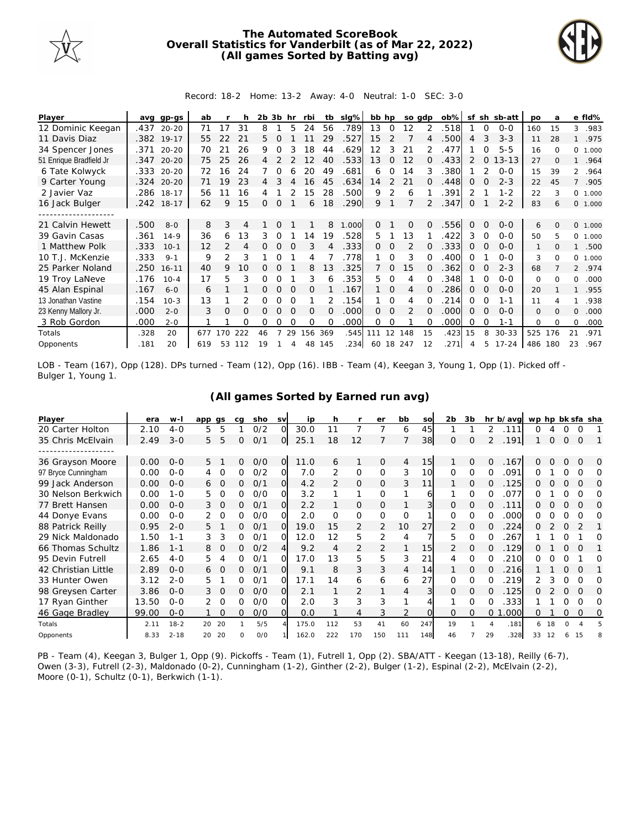

## **The Automated ScoreBook Overall Statistics for Vanderbilt (as of Mar 22, 2022) (All games Sorted by Batting avg)**



## Record: 18-2 Home: 13-2 Away: 4-0 Neutral: 1-0 SEC: 3-0

| Player                  | avq  | gp-gs      | ab  |               |     | 2b | 3b       | hr       | rbi      | tb       | slg%  | bb hp |          |               | so adp        | $ob\%$ | sf       | sh       | sb-att    | po           | a        |                | e fld%  |
|-------------------------|------|------------|-----|---------------|-----|----|----------|----------|----------|----------|-------|-------|----------|---------------|---------------|--------|----------|----------|-----------|--------------|----------|----------------|---------|
| 12 Dominic Keegan       | .437 | $20 - 20$  | 71  | 17            | 31  | 8  |          | 5        | 24       | 56       | .789  | 13    | $\Omega$ | 12            |               | .518   |          | $\Omega$ | $0 - 0$   | 160          | 15       | 3              | .983    |
| 11 Davis Diaz           |      | .382 19-17 | 55  | 22            | 21  | 5. |          |          |          | 29       | .527  | 15    |          |               |               | .500   | 4        | 3        | $3 - 3$   | 11           | 28       |                | .975    |
| 34 Spencer Jones        | .371 | $20 - 20$  | 70  | 21            | 26  | 9  |          |          | 18       | 44       | 629   | 12    | 3        | 21            | $\mathcal{P}$ | .477   |          |          | $5 - 5$   | 16           | $\Omega$ | $\Omega$       | 1.000   |
| 51 Enrique Bradfield Jr | .347 | $20 - 20$  | 75  | 25            | 26  | 4  |          |          | 12       | 40       | .533  | 13    | $\Omega$ | 12            | 0             | .433   | 2        | $\Omega$ | $13 - 13$ | 27           | $\Omega$ |                | .964    |
| 6 Tate Kolwyck          | .333 | $20 - 20$  | 72  | 16            | 24  |    |          |          | 20       | 49       | .681  | 6     | 0        | 14            | 3             | .380   |          |          | $O - O$   | 15           | 39       | $\overline{2}$ | .964    |
| 9 Carter Young          | .324 | $20 - 20$  | 71  | 9             | 23  | 4  |          |          | 16       | 45       | .634  | 14    |          | 21            | 0             | .448   | 0        |          | $2 - 3$   | 22           | 45       | $7^{\circ}$    | .905    |
| 2 Javier Vaz            | .286 | $18 - 17$  | 56  |               | 16  |    |          |          | 15       | 28       | .500  | 9     | 2        | 6             |               | .391   | 2        |          | $1 - 2$   | 22           | 3        |                | 0 1.000 |
| 16 Jack Bulger          |      | .242 18-17 | 62  | 9             | 15  | 0  | $\Omega$ |          | 6        | 18       | .290  | 9     |          |               |               | .347   | 0        |          | $2 - 2$   | 83           | 6        |                | 0 1.000 |
|                         |      |            |     |               |     |    |          |          |          |          |       |       |          |               |               |        |          |          |           |              |          |                |         |
| 21 Calvin Hewett        | .500 | $8 - 0$    | 8   | 3             | 4   |    | $\Omega$ |          |          | 8        | 1.000 | 0     |          | 0             | 0             | .556   | 0        | $\Omega$ | $O-O$     | 6            | $\Omega$ |                | 0 1.000 |
| 39 Gavin Casas          | .361 | $14 - 9$   | 36  | 6             | 13  | 3  | O        |          | 14       | 19       | .528  | 5.    |          | 13            |               | .422   | 3        | $\Omega$ | $O-O$     | 50           | 5        | $\Omega$       | 1.000   |
| 1 Matthew Polk          | .333 | $10-1$     | 12  | $\mathcal{P}$ | 4   |    | $\Omega$ |          | 3        |          | 333.  | 0     | 0        | 2             |               | .333   | $\Omega$ |          | $0 - 0$   | 1            | $\Omega$ |                | .500    |
| 10 T.J. McKenzie        | .333 | $9 - 1$    | 9   | 2             | 3   |    | Ω        |          | 4        |          | .778  |       | 0        | 3             | O             | .400   | Ω        |          | $0 - 0$   | 3            | $\Omega$ | 0              | 1.000   |
| 25 Parker Noland        | .250 | $16 - 11$  | 40  | 9             | 10  |    | $\Omega$ |          | 8        | 13       | .325  |       | $\Omega$ | 15            | 0             | .362   | 0        | $\Omega$ | $2 - 3$   | 68           |          |                | 2 .974  |
| 19 Troy LaNeve          | .176 | $10 - 4$   | 17  | 5             | 3   | 0  |          |          | 3        | 6        | .353  | 5.    | 0        | 4             |               | .348   |          |          | $0 - 0$   | 0            | $\Omega$ | 0              | .000    |
| 45 Alan Espinal         | .167 | $6 - 0$    | 6   |               |     | 0  | $\Omega$ | $\Omega$ | 0        |          | .167  |       | $\Omega$ | 4             |               | 286    | 0        | $\Omega$ | $O-O$     | 20           |          |                | .955    |
| 13 Jonathan Vastine     | .154 | $10-3$     | 13  |               |     | Ω  | Ο        |          |          |          | .154  |       | $\Omega$ | 4             |               | 214    | Ω        | O        | 1-1       | 11           |          |                | .938    |
| 23 Kenny Mallory Jr.    | .000 | $2 - 0$    | 3   | $\Omega$      | O   | Ω  | O        | $\Omega$ | $\Omega$ | $\Omega$ | .000  | 0     | $\Omega$ | $\mathcal{P}$ | 0             | .000   | $\Omega$ | $\Omega$ | $0 - 0$   | $\mathbf{0}$ | $\Omega$ | $\Omega$       | .000    |
| 3 Rob Gordon            | .000 | $2 - 0$    |     |               | Ω   | 0  | Ω        |          | O        |          | .000  | 0     | 0        |               |               | .000   | Ω        | ∩        | $1 - 1$   | 0            | $\Omega$ | $\Omega$       | .000    |
| Totals                  | .328 | 20         | 677 | 70            | 222 | 46 |          | 29       | 156      | 369      | .545  | 111   | 12       | 148           | 15            | .423   | 15       | 8        | $30 - 33$ | 525          | 176      | 21             | .971    |
| Opponents               | .181 | 20         | 619 | 53            | 112 | 19 |          | 4        | 48       | 145      | .234  |       |          | 60 18 247     | 12            | .271   | Δ        | 5.       | $17 - 24$ | 486          | 180      | 23             | .967    |

LOB - Team (167), Opp (128). DPs turned - Team (12), Opp (16). IBB - Team (4), Keegan 3, Young 1, Opp (1). Picked off - Bulger 1, Young 1.

| Player              | era   | $W -$    | app gs |          | ca | sho | <b>SV</b>      | ip    | h              |                | er             | bb       | SO  | 2 <sub>b</sub> | 3b       |          | hr b/avg | wp hp bk sfa sha |    |              |               |   |
|---------------------|-------|----------|--------|----------|----|-----|----------------|-------|----------------|----------------|----------------|----------|-----|----------------|----------|----------|----------|------------------|----|--------------|---------------|---|
| 20 Carter Holton    | 2.10  | $4 - 0$  | 5      | 5        |    | O/2 | O              | 30.0  | 11             | 7              |                | 6        | 45  |                |          | 2        | .111     | Ω                | 4  | 0            | 0             |   |
| 35 Chris McElvain   | 2.49  | $3 - 0$  | 5      | 5        | 0  | 0/1 | ΟI             | 25.1  | 18             | 12             |                |          | 38  | $\Omega$       | $\Omega$ | 2        | .191     |                  | 0  | 0            | $\mathbf 0$   |   |
|                     |       |          |        |          |    |     |                |       |                |                |                |          |     |                |          |          |          |                  |    |              |               |   |
| 36 Grayson Moore    | 0.00  | $0 - 0$  | 5      |          | 0  | O/O | $\overline{O}$ | 11.0  | 6              | 1              | $\mathbf{O}$   | 4        | 15  |                | $\Omega$ | 0        | .167     | 0                | 0  | $\mathbf{0}$ | $\mathbf 0$   | 0 |
| 97 Bryce Cunningham | 0.00  | $O - O$  |        | O        | Ω  | O/2 | O.             | 7.0   |                | O              | 0              | 3        | 10  | 0              | 0        |          | .091     | Ω                |    |              |               | O |
| 99 Jack Anderson    | 0.00  | $O - O$  | 6      | $\Omega$ | 0  | 0/1 | Ol             | 4.2   | $\overline{2}$ | $\overline{O}$ | $\Omega$       | 3        | 11  |                | 0        | Ω        | .125     | Ω                |    | O            | Ω             | Ω |
| 30 Nelson Berkwich  | 0.00  | $1 - 0$  | 5      | $\Omega$ | 0  | O/O | O.             | 3.2   |                | 1              | $\Omega$       |          | 6   |                | O        | 0        | 077      | ∩                |    |              | $\Omega$      | Ω |
| 77 Brett Hansen     | 0.00  | $O - O$  | 3      | $\circ$  | 0  | 0/1 | Ol             | 2.2   |                | 0              | 0              |          |     | 0              | 0        | Ω        | .111     | Ω                |    |              | O             | O |
| 44 Donye Evans      | 0.00  | $O - O$  | 2      | $\Omega$ | 0  | O/O | O.             | 2.0   | $\Omega$       | $\Omega$       | $\Omega$       | $\Omega$ |     | 0              | 0        |          | .000     | O                |    |              |               | Ω |
| 88 Patrick Reilly   | 0.95  | $2 - 0$  | 5      |          | 0  | 0/1 | O              | 19.0  | 15             | 2              | $\overline{2}$ | 10       | 27  | 2              | 0        |          | 224      | Ω                |    | $\Omega$     | $\mathcal{P}$ |   |
| 29 Nick Maldonado   | 1.50  | $1 - 1$  | 3      | 3        | 0  | 0/1 | O.             | 12.0  | 12             | 5              | 2              | 4        |     | 5.             | $\Omega$ | Ω        | 267      |                  |    |              |               | Ω |
| 66 Thomas Schultz   | 1.86  | $1 - 1$  | 8      | 0        | 0  | O/2 | 41             | 9.2   |                | 2              | 2              |          | 15  | 2              | 0        | Ω        | .129     | Ω                |    |              | $\Omega$      |   |
| 95 Devin Futrell    | 2.65  | $4 - 0$  | 5      | 4        | 0  | 0/2 | O              | 17.0  | 13             | 5              | 5              | 3        | 21  | 4              | $\Omega$ |          | 210      | Ω                |    |              |               | O |
| 42 Christian Little | 2.89  | $O - O$  | 6      | $\Omega$ | 0  | 0/1 | $\Omega$       | 9.1   | 8              | 3              | 3              | 4        | 14  |                | O        | 0        | 216      |                  |    |              | $\Omega$      |   |
| 33 Hunter Owen      | 3.12  | $2 - 0$  | 5      |          | 0  | O/1 | O              | 17.1  | 14             | 6              | 6              | 6        | 27  | 0              | Ω        | Ω        | 219      |                  |    |              | O             | O |
| 98 Greysen Carter   | 3.86  | $O - O$  | 3      | $\Omega$ | 0  | O/O | ΩI             | 2.1   |                | 2              |                | 4        | 3   | 0              | $\Omega$ | 0        | .125     |                  |    |              | $\Omega$      | O |
| 17 Ryan Ginther     | 13.50 | $O - O$  | 2      | $\Omega$ | Ω  | 0/0 | O              | 2.0   | 3              | 3              | 3              |          |     |                | Ω        |          | 333      |                  |    |              |               | O |
| 46 Gage Bradley     | 99.00 | $O - O$  |        | $\Omega$ | 0  | O/O | $\Omega$       | 0.0   |                | 4              | 3              | 2        |     | 0              | $\Omega$ | $\Omega$ | .000     | Ω                |    | Ω            | $\Omega$      | Ω |
| Totals              | 2.11  | $18 - 2$ | 20     | 20       |    | 5/5 |                | 175.0 | 112            | 53             | 41             | 60       | 247 | 19             |          |          | .181     | 6                | 18 | $\Omega$     |               |   |
| Opponents           | 8.33  | $2 - 18$ | 20     | 20       | O  | O/O |                | 162.0 | 222            | 170            | 150            | 111      | 148 | 46             |          | 29       | .328     | 33               | 12 |              | 15            |   |

## **(All games Sorted by Earned run avg)**

PB - Team (4), Keegan 3, Bulger 1, Opp (9). Pickoffs - Team (1), Futrell 1, Opp (2). SBA/ATT - Keegan (13-18), Reilly (6-7), Owen (3-3), Futrell (2-3), Maldonado (0-2), Cunningham (1-2), Ginther (2-2), Bulger (1-2), Espinal (2-2), McElvain (2-2), Moore (0-1), Schultz (0-1), Berkwich (1-1).